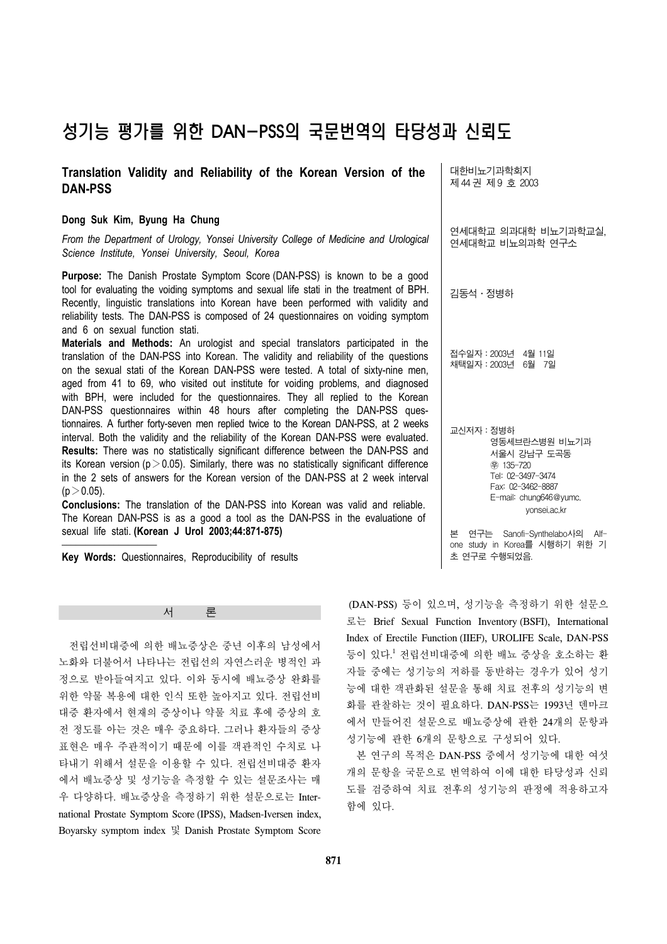# 성기능 평가를 위한 DAN-PSS의 국문번역의 타당성과 신뢰도

### **Translation Validity and Reliability of the Korean Version of the DAN-PSS**

#### **Dong Suk Kim, Byung Ha Chung**

*From the Department of Urology, Yonsei University College of Medicine and Urological Science Institute, Yonsei University, Seoul, Korea*

Purpose: The Danish Prostate Symptom Score (DAN-PSS) is known to be a good tool for evaluating the voiding symptoms and sexual life stati in the treatment of BPH. Recently, linguistic translations into Korean have been performed with validity and reliability tests. The DAN-PSS is composed of 24 questionnaires on voiding symptom and 6 on sexual function stati.

**Materials and Methods:** An urologist and special translators participated in the translation of the DAN-PSS into Korean. The validity and reliability of the questions on the sexual stati of the Korean DAN-PSS were tested. A total of sixty-nine men, aged from 41 to 69, who visited out institute for voiding problems, and diagnosed with BPH, were included for the questionnaires. They all replied to the Korean DAN-PSS questionnaires within 48 hours after completing the DAN-PSS questionnaires. A further forty-seven men replied twice to the Korean DAN-PSS, at 2 weeks interval. Both the validity and the reliability of the Korean DAN-PSS were evaluated. **Results:** There was no statistically significant difference between the DAN-PSS and its Korean version ( $p > 0.05$ ). Similarly, there was no statistically significant difference in the 2 sets of answers for the Korean version of the DAN-PSS at 2 week interval  $(p > 0.05)$ .

**Conclusions:** The translation of the DAN-PSS into Korean was valid and reliable. The Korean DAN-PSS is as a good a tool as the DAN-PSS in the evaluatione of sexual life stati. **(Korean J Urol 2003;44:871-875)**

**Key Words:** Questionnaires, Reproducibility of results

서 론

 전립선비대증에 의한 배뇨증상은 중년 이후의 남성에서 노화와 더불어서 나타나는 전립선의 자연스러운 병적인 과 정으로 받아들여지고 있다. 이와 동시에 배뇨증상 완화를 위한 약물 복용에 대한 인식 또한 높아지고 있다. 전립선비 대증 환자에서 현재의 증상이나 약물 치료 후에 증상의 호 전 정도를 아는 것은 매우 중요하다. 그러나 환자들의 증상 표현은 매우 주관적이기 때문에 이를 객관적인 수치로 나 타내기 위해서 설문을 이용할 수 있다. 전립선비대증 환자 에서 배뇨증상 및 성기능을 측정할 수 있는 설문조사는 매 우 다양하다. 배뇨증상을 측정하기 위한 설문으로는 International Prostate Symptom Score (IPSS), Madsen-Iversen index, Boyarsky symptom index 및 Danish Prostate Symptom Score 대한비뇨기과학회지 제 44 권 제 9 호 2003

연세대학교 의과대학 비뇨기과학교실, 연세대학교 비뇨의과학 연구소

김동석․정병하

접수일자: 2003년 4월 11일<br>채택일자: 2003년 6월 7일 채택일자:2003년 6월 7일

교신저자:정병하 영동세브란스병원 비뇨기과 서울시 강남구 도곡동 ꂕ 135-720 Tel: 02-3497-3474 Fax: 02-3462-8887 E-mail: chung646@yumc. yonsei.ac.kr

본 연구는 Sanofi-Synthelabo사의 Alfone study in Korea를 시행하기 위한 기 초 연구로 수행되었음.

(DAN-PSS) 등이 있으며, 성기능을 측정하기 위한 설문으 로는 Brief Sexual Function Inventory (BSFI), International Index of Erectile Function (IIEF), UROLIFE Scale, DAN-PSS 등이 있다. <sup>1</sup> 전립선비대증에 의한 배뇨 증상을 호소하는 환 자들 중에는 성기능의 저하를 동반하는 경우가 있어 성기 능에 대한 객관화된 설문을 통해 치료 전후의 성기능의 변 화를 관찰하는 것이 필요하다. DAN-PSS는 1993년 덴마크 에서 만들어진 설문으로 배뇨증상에 관한 24개의 문항과 성기능에 관한 6개의 문항으로 구성되어 있다.

 본 연구의 목적은 DAN-PSS 중에서 성기능에 대한 여섯 개의 문항을 국문으로 번역하여 이에 대한 타당성과 신뢰 도를 검증하여 치료 전후의 성기능의 판정에 적용하고자 함에 있다.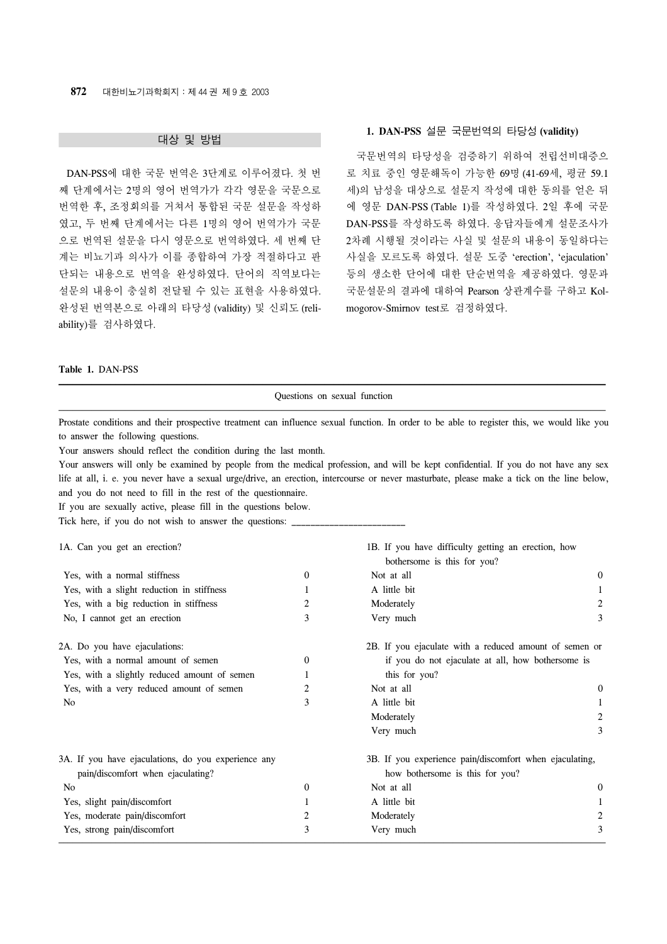#### 대상 및 방법

 DAN-PSS에 대한 국문 번역은 3단계로 이루어졌다. 첫 번 째 단계에서는 2명의 영어 번역가가 각각 영문을 국문으로 번역한 후, 조정회의를 거쳐서 통합된 국문 설문을 작성하 였고, 두 번째 단계에서는 다른 1명의 영어 번역가가 국문 으로 번역된 설문을 다시 영문으로 번역하였다. 세 번째 단 계는 비뇨기과 의사가 이를 종합하여 가장 적절하다고 판 단되는 내용으로 번역을 완성하였다. 단어의 직역보다는 설문의 내용이 충실히 전달될 수 있는 표현을 사용하였다. 완성된 번역본으로 아래의 타당성 (validity) 및 신뢰도 (reliability)를 검사하였다.

## **1. DAN-PSS** 설문 국문번역의 타당성 **(validity)**

 국문번역의 타당성을 검증하기 위하여 전립선비대증으 로 치료 중인 영문해독이 가능한 69명 (41-69세, 평균 59.1 세)의 남성을 대상으로 설문지 작성에 대한 동의를 얻은 뒤 에 영문 DAN-PSS (Table 1)를 작성하였다. 2일 후에 국문 DAN-PSS를 작성하도록 하였다. 응답자들에게 설문조사가 2차례 시행될 것이라는 사실 및 설문의 내용이 동일하다는 사실을 모르도록 하였다. 설문 도중 'erection', 'ejaculation' 등의 생소한 단어에 대한 단순번역을 제공하였다. 영문과 국문설문의 결과에 대하여 Pearson 상관계수를 구하고 Kolmogorov-Smirnov test로 검정하였다.

#### **Table 1.** DAN-PSS

| Questions on sexual function                                                                                                                                                     |                  |                                                                                    |          |  |
|----------------------------------------------------------------------------------------------------------------------------------------------------------------------------------|------------------|------------------------------------------------------------------------------------|----------|--|
| Prostate conditions and their prospective treatment can influence sexual function. In order to be able to register this, we would like you<br>to answer the following questions. |                  |                                                                                    |          |  |
| Your answers should reflect the condition during the last month.                                                                                                                 |                  |                                                                                    |          |  |
| Your answers will only be examined by people from the medical profession, and will be kept confidential. If you do not have any sex                                              |                  |                                                                                    |          |  |
| life at all, i. e. you never have a sexual urge/drive, an erection, intercourse or never masturbate, please make a tick on the line below,                                       |                  |                                                                                    |          |  |
| and you do not need to fill in the rest of the questionnaire.                                                                                                                    |                  |                                                                                    |          |  |
| If you are sexually active, please fill in the questions below.                                                                                                                  |                  |                                                                                    |          |  |
| Tick here, if you do not wish to answer the questions:                                                                                                                           |                  |                                                                                    |          |  |
| 1A. Can you get an erection?                                                                                                                                                     |                  | 1B. If you have difficulty getting an erection, how<br>bothersome is this for you? |          |  |
| Yes, with a normal stiffness                                                                                                                                                     | 0                | Not at all                                                                         | $\bf{0}$ |  |
| Yes, with a slight reduction in stiffness                                                                                                                                        | 1                | A little bit                                                                       | 1        |  |
| Yes, with a big reduction in stiffness                                                                                                                                           | 2                | Moderately                                                                         | 2        |  |
| No, I cannot get an erection                                                                                                                                                     | 3                | Very much                                                                          | 3        |  |
| 2A. Do you have ejaculations:                                                                                                                                                    |                  | 2B. If you ejaculate with a reduced amount of semen or                             |          |  |
| Yes, with a normal amount of semen                                                                                                                                               | 0                | if you do not ejaculate at all, how bothersome is                                  |          |  |
| Yes, with a slightly reduced amount of semen                                                                                                                                     | 1                | this for you?                                                                      |          |  |
| Yes, with a very reduced amount of semen                                                                                                                                         | 2                | Not at all                                                                         | 0        |  |
| No                                                                                                                                                                               | 3                | A little bit                                                                       | 1        |  |
|                                                                                                                                                                                  |                  | Moderately                                                                         | 2        |  |
|                                                                                                                                                                                  |                  | Very much                                                                          | 3        |  |
| 3A. If you have ejaculations, do you experience any                                                                                                                              |                  | 3B. If you experience pain/discomfort when ejaculating,                            |          |  |
| pain/discomfort when ejaculating?                                                                                                                                                |                  | how bothersome is this for you?                                                    |          |  |
| No                                                                                                                                                                               | $\boldsymbol{0}$ | Not at all                                                                         | $\bf{0}$ |  |
| Yes, slight pain/discomfort                                                                                                                                                      | 1                | A little bit                                                                       | 1        |  |
| Yes, moderate pain/discomfort                                                                                                                                                    | 2                | Moderately                                                                         | 2        |  |
| Yes, strong pain/discomfort                                                                                                                                                      | 3                | Very much                                                                          | 3        |  |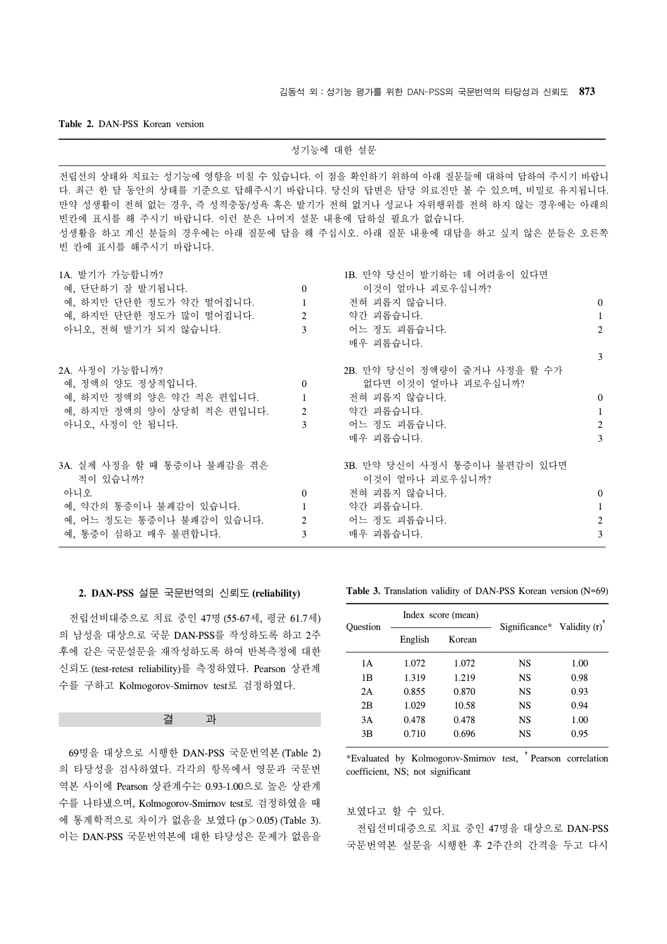#### **Table 2.** DAN-PSS Korean version

|                                                                                                                               |                                    | 성기능에 대한 설문                                                                                                                                                                                                                                                                                        |                             |
|-------------------------------------------------------------------------------------------------------------------------------|------------------------------------|---------------------------------------------------------------------------------------------------------------------------------------------------------------------------------------------------------------------------------------------------------------------------------------------------|-----------------------------|
| 빈칸에 표시를 해 주시기 바랍니다. 이런 분은 나머지 설문 내용에 답하실 필요가 없습니다.<br>빈 칸에 표시를 해주시기 바랍니다.                                                     |                                    | 전립선의 상태와 치료는 성기능에 영향을 미칠 수 있습니다. 이 점을 확인하기 위하여 아래 질문들에 대하여 답하여 주시기 바랍니<br>다. 최근 한 달 동안의 상태를 기준으로 답해주시기 바랍니다. 당신의 답변은 담당 의료진만 볼 수 있으며, 비밀로 유지됩니다.<br>만약 성생활이 전혀 없는 경우, 즉 성적충동/성욕 혹은 발기가 전혀 없거나 성교나 자위행위를 전혀 하지 않는 경우에는 아래의<br>성생활을 하고 계신 분들의 경우에는 아래 질문에 답을 해 주십시오. 아래 질문 내용에 대답을 하고 싶지 않은 분들은 오른쪽 |                             |
| 1A. 발기가 가능합니까?<br>예, 단단하기 잘 발기됩니다.<br>예, 하지만 단단한 정도가 약간 떨어집니다.<br>예, 하지만 단단한 정도가 많이 떨어집니다.<br>아니오, 전혀 발기가 되지 않습니다.            | $\theta$<br>$\mathbf{1}$<br>2<br>3 | 1B. 만약 당신이 발기하는 데 어려움이 있다면<br>이것이 얼마나 괴로우십니까?<br>전혀 괴롭지 않습니다.<br>약간 괴롭습니다.<br>어느 정도 괴롭습니다.<br>매우 괴롭습니다.                                                                                                                                                                                           | $\theta$<br>1<br>2<br>3     |
| 2A. 사정이 가능합니까?<br>예. 정액의 양도 정상적입니다.<br>예, 하지만 정액의 양은 약간 적은 편입니다.<br>예, 하지만 정액의 양이 상당히 적은 편입니다.<br>아니오, 사정이 안 됩니다.             | $\Omega$<br>$\mathbf{1}$<br>2<br>3 | 2B. 만약 당신이 정액량이 줄거나 사정을 할 수가<br>없다면 이것이 얼마나 괴로우십니까?<br>전혀 괴롭지 않습니다.<br>약간 괴롭습니다.<br>어느 정도 괴롭습니다.<br>매우 괴롭습니다.                                                                                                                                                                                     | $\theta$<br>1<br>2<br>3     |
| 3A. 실제 사정을 할 때 통증이나 불쾌감을 겪은<br>적이 있습니까?<br>아니오<br>예, 약간의 통증이나 불쾌감이 있습니다.<br>예, 어느 정도는 통증이나 불쾌감이 있습니다.<br>예, 통증이 심하고 매우 불편합니다. | $\overline{0}$<br>1<br>2<br>3      | 3B. 만약 당신이 사정시 통증이나 불편감이 있다면<br>이것이 얼마나 괴로우십니까?<br>저혀 괴롭지 않습니다.<br>약간 괴롭습니다.<br>어느 정도 괴롭습니다.<br>매우 괴롭습니다.                                                                                                                                                                                         | $\mathbf{0}$<br>1<br>2<br>3 |

#### **2. DAN-PSS** 설문 국문번역의 신뢰도 **(reliability)**

 전립선비대증으로 치료 중인 47명 (55-67세, 평균 61.7세) 의 남성을 대상으로 국문 DAN-PSS를 작성하도록 하고 2주 후에 같은 국문설문을 재작성하도록 하여 반복측정에 대한 신뢰도 (test-retest reliability)를 측정하였다. Pearson 상관계 수를 구하고 Kolmogorov-Smirnov test로 검정하였다.

#### 결 과

 69명을 대상으로 시행한 DAN-PSS 국문번역본 (Table 2) 의 타당성을 검사하였다. 각각의 항목에서 영문과 국문번 역본 사이에 Pearson 상관계수는 0.93-1.00으로 높은 상관계 수를 나타냈으며, Kolmogorov-Smirnov test로 검정하였을 때 에 통계학적으로 차이가 없음을 보였다 (p>0.05) (Table 3). 이는 DAN-PSS 국문번역본에 대한 타당성은 문제가 없음을

**Table 3.** Translation validity of DAN-PSS Korean version (N=69)

| Question |         | Index score (mean) | Significance* Validity $(r)$ |      |
|----------|---------|--------------------|------------------------------|------|
|          | English | Korean             |                              |      |
| 1 A      | 1.072   | 1.072              | NS                           | 1.00 |
| 1B       | 1.319   | 1.219              | <b>NS</b>                    | 0.98 |
| 2A       | 0.855   | 0.870              | NS                           | 0.93 |
| 2B       | 1.029   | 10.58              | NS                           | 0.94 |
| 3A       | 0.478   | 0.478              | NS                           | 1.00 |
| 3B       | 0.710   | 0.696              | NS                           | 0.95 |
|          |         |                    |                              |      |

\*Evaluated by Kolmogorov-Smirnov test, †Pearson correlation coefficient, NS; not significant

#### 보였다고 할 수 있다.

 전립선비대증으로 치료 중인 47명을 대상으로 DAN-PSS 국문번역본 설문을 시행한 후 2주간의 간격을 두고 다시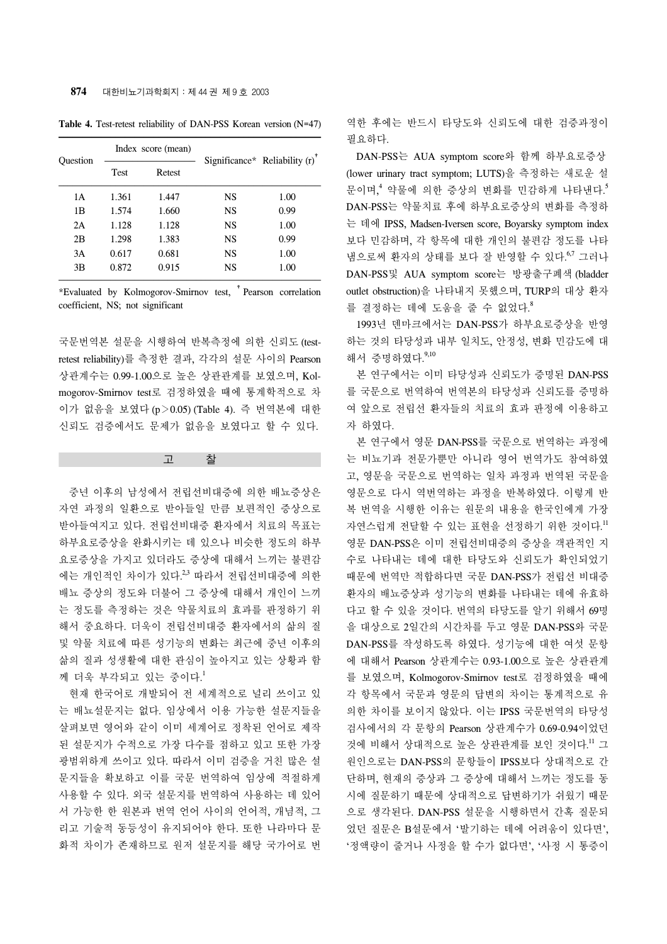| Ouestion |             | Index score (mean) |    | Significance* Reliability $(r)$ |
|----------|-------------|--------------------|----|---------------------------------|
|          | <b>Test</b> | Retest             |    |                                 |
| 1 A      | 1.361       | 1.447              | NS | 1.00                            |
| 1B       | 1.574       | 1.660              | NS | 0.99                            |
| 2A       | 1.128       | 1.128              | NS | 1.00                            |
| 2B       | 1.298       | 1.383              | NS | 0.99                            |
| 3A       | 0.617       | 0.681              | NS | 1.00                            |
| 3B       | 0.872       | 0.915              | NS | 1.00                            |

**Table 4.** Test-retest reliability of DAN-PSS Korean version (N=47)

\*Evaluated by Kolmogorov-Smirnov test, †Pearson correlation coefficient, NS; not significant

국문번역본 설문을 시행하여 반복측정에 의한 신뢰도 (testretest reliability)를 측정한 결과, 각각의 설문 사이의 Pearson 상관계수는 0.99-1.00으로 높은 상관관계를 보였으며, Kolmogorov-Smirnov test로 검정하였을 때에 통계학적으로 차 이가 없음을 보였다 (p>0.05) (Table 4). 즉 번역본에 대한 신뢰도 검증에서도 문제가 없음을 보였다고 할 수 있다.

고 찰

 중년 이후의 남성에서 전립선비대증에 의한 배뇨증상은 자연 과정의 일환으로 받아들일 만큼 보편적인 증상으로 받아들여지고 있다. 전립선비대증 환자에서 치료의 목표는 하부요로증상을 완화시키는 데 있으나 비슷한 정도의 하부 요로증상을 가지고 있더라도 증상에 대해서 느끼는 불편감 에는 개인적인 차이가 있다.<sup>2,3</sup> 따라서 전립선비대증에 의한 배뇨 증상의 정도와 더불어 그 증상에 대해서 개인이 느끼 는 정도를 측정하는 것은 약물치료의 효과를 판정하기 위 해서 중요하다. 더욱이 전립선비대증 환자에서의 삶의 질 및 약물 치료에 따른 성기능의 변화는 최근에 중년 이후의 삶의 질과 성생활에 대한 관심이 높아지고 있는 상황과 함 께 더욱 부각되고 있는 중이다. 1

 현재 한국어로 개발되어 전 세계적으로 널리 쓰이고 있 는 배뇨설문지는 없다. 임상에서 이용 가능한 설문지들을 살펴보면 영어와 같이 이미 세계어로 정착된 언어로 제작 된 설문지가 수적으로 가장 다수를 점하고 있고 또한 가장 광범위하게 쓰이고 있다. 따라서 이미 검증을 거친 많은 설 문지들을 확보하고 이를 국문 번역하여 임상에 적절하게 사용할 수 있다. 외국 설문지를 번역하여 사용하는 데 있어 서 가능한 한 원본과 번역 언어 사이의 언어적, 개념적, 그 리고 기술적 동등성이 유지되어야 한다. 또한 나라마다 문 화적 차이가 존재하므로 원저 설문지를 해당 국가어로 번 역한 후에는 반드시 타당도와 신뢰도에 대한 검증과정이 필요하다.

 DAN-PSS는 AUA symptom score와 함께 하부요로증상 (lower urinary tract symptom; LUTS)을 측정하는 새로운 설 문이며,<sup>4</sup> 약물에 의한 증상의 변화를 민감하게 나타낸다.<sup>5</sup> DAN-PSS는 약물치료 후에 하부요로증상의 변화를 측정하 는 데에 IPSS, Madsen-Iversen score, Boyarsky symptom index 보다 민감하며, 각 항목에 대한 개인의 불편감 정도를 나타 냄으로써 환자의 상태를 보다 잘 반영할 수 있다.<sup>67</sup> 그러나 DAN-PSS및 AUA symptom score는 방광출구폐색 (bladder outlet obstruction)을 나타내지 못했으며, TURP의 대상 환자 를 결정하는 데에 도움을 줄 수 없었다.<sup>8</sup>

 1993년 덴마크에서는 DAN-PSS가 하부요로증상을 반영 하는 것의 타당성과 내부 일치도, 안정성, 변화 민감도에 대 해서 증명하였다.<sup>9,10</sup>

 본 연구에서는 이미 타당성과 신뢰도가 증명된 DAN-PSS 를 국문으로 번역하여 번역본의 타당성과 신뢰도를 증명하 여 앞으로 전립선 환자들의 치료의 효과 판정에 이용하고 자 하였다.

 본 연구에서 영문 DAN-PSS를 국문으로 번역하는 과정에 는 비뇨기과 전문가뿐만 아니라 영어 번역가도 참여하였 고, 영문을 국문으로 번역하는 일차 과정과 번역된 국문을 영문으로 다시 역번역하는 과정을 반복하였다. 이렇게 반 복 번역을 시행한 이유는 원문의 내용을 한국인에게 가장 자연스럽게 전달할 수 있는 표현을 선정하기 위한 것이다.<sup>11</sup> 영문 DAN-PSS은 이미 전립선비대증의 증상을 객관적인 지 수로 나타내는 데에 대한 타당도와 신뢰도가 확인되었기 때문에 번역만 적합하다면 국문 DAN-PSS가 전립선 비대증 환자의 배뇨증상과 성기능의 변화를 나타내는 데에 유효하 다고 할 수 있을 것이다. 번역의 타당도를 알기 위해서 69명 을 대상으로 2일간의 시간차를 두고 영문 DAN-PSS와 국문 DAN-PSS를 작성하도록 하였다. 성기능에 대한 여섯 문항 에 대해서 Pearson 상관계수는 0.93-1.00으로 높은 상관관계 를 보였으며, Kolmogorov-Smirnov test로 검정하였을 때에 각 항목에서 국문과 영문의 답변의 차이는 통계적으로 유 의한 차이를 보이지 않았다. 이는 IPSS 국문번역의 타당성 검사에서의 각 문항의 Pearson 상관계수가 0.69-0.94이었던 것에 비해서 상대적으로 높은 상관관계를 보인 것이다. <sup>11</sup> 그 원인으로는 DAN-PSS의 문항들이 IPSS보다 상대적으로 간 단하며, 현재의 증상과 그 증상에 대해서 느끼는 정도를 동 시에 질문하기 때문에 상대적으로 답변하기가 쉬웠기 때문 으로 생각된다. DAN-PSS 설문을 시행하면서 간혹 질문되 었던 질문은 B설문에서 '발기하는 데에 어려움이 있다면', '정액량이 줄거나 사정을 할 수가 없다면', '사정 시 통증이